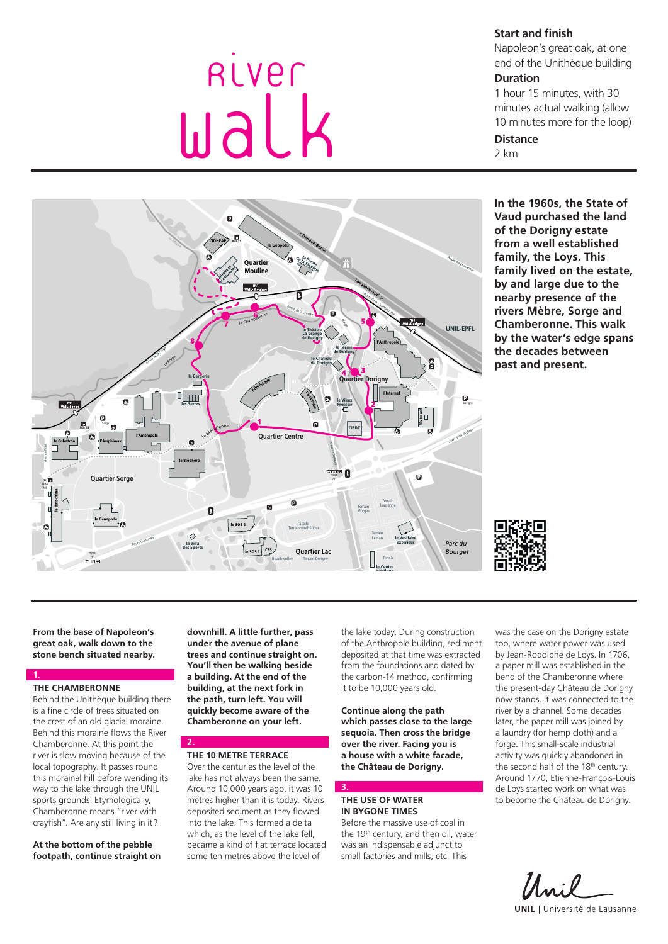# **Start and finish**

Napoleon's great oak, at one end of the Unithèque building

# **Duration**

1 hour 15 minutes, with 30 minutes actual walking (allow 10 minutes more for the loop)

# **Distance**

2 km



River

walk

**In the 1960s, the State of Vaud purchased the land of the Dorigny estate from a well established family, the Loys. This family lived on the estate, by and large due to the nearby presence of the rivers Mèbre, Sorge and Chamberonne. This walk by the water's edge spans the decades between past and present.**



**From the base of Napoleon's great oak, walk down to the stone bench situated nearby.**

#### **1. THE CHAMBERONNE**

Behind the Unithèque building there is a fine circle of trees situated on the crest of an old glacial moraine. Behind this moraine flows the River Chamberonne. At this point the river is slow moving because of the local topography. It passes round this morainal hill before wending its way to the lake through the UNIL sports grounds. Etymologically, Chamberonne means "river with crayfish". Are any still living in it?

**At the bottom of the pebble footpath, continue straight on**  **downhill. A little further, pass under the avenue of plane trees and continue straight on. You'll then be walking beside a building. At the end of the building, at the next fork in the path, turn left. You will quickly become aware of the Chamberonne on your left.**

## **THE 10 METRE TERRACE**

2. **2.**

Over the centuries the level of the lake has not always been the same. Around 10,000 years ago, it was 10 metres higher than it is today. Rivers deposited sediment as they flowed into the lake. This formed a delta which, as the level of the lake fell. became a kind of flat terrace located some ten metres above the level of

the lake today. During construction of the Anthropole building, sediment deposited at that time was extracted from the foundations and dated by the carbon-14 method, confirming it to be 10,000 years old.

**Continue along the path which passes close to the large sequoia. Then cross the bridge over the river. Facing you is a house with a white facade, the Château de Dorigny.**

## **THE USE OF WATER IN BYGONE TIMES**

**3.**

Before the massive use of coal in the 19<sup>th</sup> century, and then oil, water was an indispensable adjunct to small factories and mills, etc. This

was the case on the Dorigny estate too, where water power was used by Jean-Rodolphe de Loys. In 1706, a paper mill was established in the bend of the Chamberonne where the present-day Château de Dorigny now stands. It was connected to the river by a channel. Some decades later, the paper mill was joined by a laundry (for hemp cloth) and a forge. This small-scale industrial activity was quickly abandoned in the second half of the 18<sup>th</sup> century. Around 1770, Etienne-François-Louis de Loys started work on what was to become the Château de Dorigny.

Mai **UNIL** | Université de Lausanne